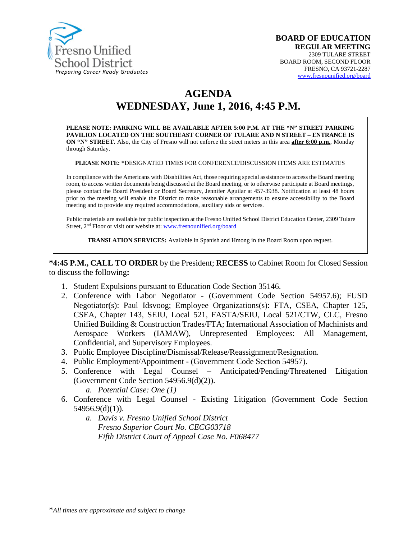

# **AGENDA**

# **WEDNESDAY, June 1, 2016, 4:45 P.M.**

**PLEASE NOTE: PARKING WILL BE AVAILABLE AFTER 5:00 P.M. AT THE "N" STREET PARKING PAVILION LOCATED ON THE SOUTHEAST CORNER OF TULARE AND N STREET – ENTRANCE IS ON "N" STREET.** Also, the City of Fresno will not enforce the street meters in this area **after 6:00 p.m.**, Monday through Saturday.

**PLEASE NOTE: \***DESIGNATED TIMES FOR CONFERENCE/DISCUSSION ITEMS ARE ESTIMATES

In compliance with the Americans with Disabilities Act, those requiring special assistance to access the Board meeting room, to access written documents being discussed at the Board meeting, or to otherwise participate at Board meetings, please contact the Board President or Board Secretary, Jennifer Aguilar at 457-3938. Notification at least 48 hours prior to the meeting will enable the District to make reasonable arrangements to ensure accessibility to the Board meeting and to provide any required accommodations, auxiliary aids or services.

Public materials are available for public inspection at the Fresno Unified School District Education Center, 2309 Tulare Street, 2nd Floor or visit our website at: [www.fresnounified.org/board](http://www.fresnounified.org/board)

**TRANSLATION SERVICES:** Available in Spanish and Hmong in the Board Room upon request.

**\*4:45 P.M., CALL TO ORDER** by the President; **RECESS** to Cabinet Room for Closed Session to discuss the following**:**

- 1. Student Expulsions pursuant to Education Code Section 35146.
- 2. Conference with Labor Negotiator (Government Code Section 54957.6); FUSD Negotiator(s): Paul Idsvoog; Employee Organizations(s): FTA, CSEA, Chapter 125, CSEA, Chapter 143, SEIU, Local 521, FASTA/SEIU, Local 521/CTW, CLC, Fresno Unified Building & Construction Trades/FTA; International Association of Machinists and Aerospace Workers (IAMAW), Unrepresented Employees: All Management, Confidential, and Supervisory Employees.
- 3. Public Employee Discipline/Dismissal/Release/Reassignment/Resignation.
- 4. Public Employment/Appointment (Government Code Section 54957).
- 5. Conference with Legal Counsel **–** Anticipated/Pending/Threatened Litigation (Government Code Section 54956.9(d)(2)).
	- *a. Potential Case: One (1)*
- 6. Conference with Legal Counsel Existing Litigation (Government Code Section 54956.9(d)(1)).
	- *a. Davis v. Fresno Unified School District Fresno Superior Court No. CECG03718 Fifth District Court of Appeal Case No. F068477*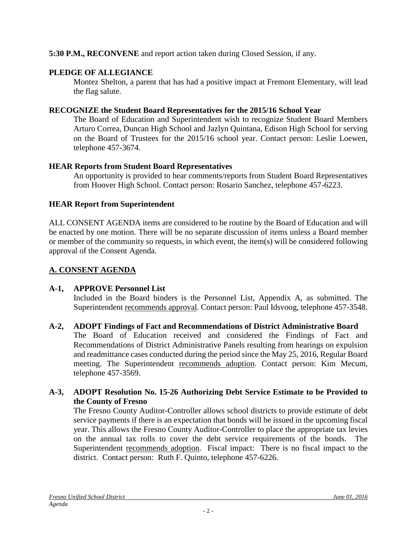# **5:30 P.M., RECONVENE** and report action taken during Closed Session, if any.

# **PLEDGE OF ALLEGIANCE**

Montez Shelton, a parent that has had a positive impact at Fremont Elementary, will lead the flag salute.

# **RECOGNIZE the Student Board Representatives for the 2015/16 School Year**

The Board of Education and Superintendent wish to recognize Student Board Members Arturo Correa, Duncan High School and Jazlyn Quintana, Edison High School for serving on the Board of Trustees for the 2015/16 school year. Contact person: Leslie Loewen, telephone 457-3674.

# **HEAR Reports from Student Board Representatives**

An opportunity is provided to hear comments/reports from Student Board Representatives from Hoover High School. Contact person: Rosario Sanchez, telephone 457-6223.

# **HEAR Report from Superintendent**

ALL CONSENT AGENDA items are considered to be routine by the Board of Education and will be enacted by one motion. There will be no separate discussion of items unless a Board member or member of the community so requests, in which event, the item(s) will be considered following approval of the Consent Agenda.

# **A. CONSENT AGENDA**

# **A-1, APPROVE Personnel List**

Included in the Board binders is the Personnel List, Appendix A, as submitted. The Superintendent recommends approval. Contact person: Paul Idsvoog, telephone 457-3548.

# **A-2, ADOPT Findings of Fact and Recommendations of District Administrative Board**

The Board of Education received and considered the Findings of Fact and Recommendations of District Administrative Panels resulting from hearings on expulsion and readmittance cases conducted during the period since the May 25, 2016, Regular Board meeting. The Superintendent recommends adoption. Contact person: Kim Mecum, telephone 457-3569.

# **A-3, ADOPT Resolution No. 15-26 Authorizing Debt Service Estimate to be Provided to the County of Fresno**

The Fresno County Auditor-Controller allows school districts to provide estimate of debt service payments if there is an expectation that bonds will be issued in the upcoming fiscal year. This allows the Fresno County Auditor-Controller to place the appropriate tax levies on the annual tax rolls to cover the debt service requirements of the bonds. The Superintendent recommends adoption. Fiscal impact: There is no fiscal impact to the district. Contact person: Ruth F. Quinto, telephone 457-6226.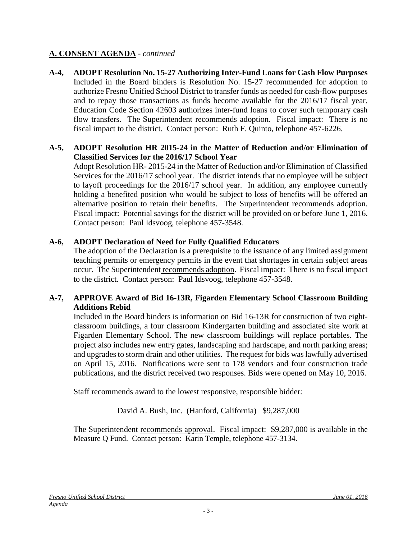# **A. CONSENT AGENDA** - *continued*

**A-4, ADOPT Resolution No. 15-27 Authorizing Inter-Fund Loans for Cash Flow Purposes** Included in the Board binders is Resolution No. 15-27 recommended for adoption to authorize Fresno Unified School District to transfer funds as needed for cash-flow purposes and to repay those transactions as funds become available for the 2016/17 fiscal year. Education Code Section 42603 authorizes inter-fund loans to cover such temporary cash flow transfers. The Superintendent recommends adoption. Fiscal impact: There is no fiscal impact to the district. Contact person: Ruth F. Quinto, telephone 457-6226.

#### **A-5, ADOPT Resolution HR 2015-24 in the Matter of Reduction and/or Elimination of Classified Services for the 2016/17 School Year**

Adopt Resolution HR- 2015-24 in the Matter of Reduction and/or Elimination of Classified Services for the 2016/17 school year. The district intends that no employee will be subject to layoff proceedings for the 2016/17 school year. In addition, any employee currently holding a benefited position who would be subject to loss of benefits will be offered an alternative position to retain their benefits. The Superintendent recommends adoption. Fiscal impact: Potential savings for the district will be provided on or before June 1, 2016. Contact person: Paul Idsvoog, telephone 457-3548.

# **A-6, ADOPT Declaration of Need for Fully Qualified Educators**

The adoption of the Declaration is a prerequisite to the issuance of any limited assignment teaching permits or emergency permits in the event that shortages in certain subject areas occur. The Superintendent recommends adoption. Fiscal impact: There is no fiscal impact to the district. Contact person: Paul Idsvoog, telephone 457-3548.

#### **A-7, APPROVE Award of Bid 16-13R, Figarden Elementary School Classroom Building Additions Rebid**

Included in the Board binders is information on Bid 16-13R for construction of two eightclassroom buildings, a four classroom Kindergarten building and associated site work at Figarden Elementary School. The new classroom buildings will replace portables. The project also includes new entry gates, landscaping and hardscape, and north parking areas; and upgrades to storm drain and other utilities. The request for bids was lawfully advertised on April 15, 2016. Notifications were sent to 178 vendors and four construction trade publications, and the district received two responses. Bids were opened on May 10, 2016.

Staff recommends award to the lowest responsive, responsible bidder:

David A. Bush, Inc. (Hanford, California) \$9,287,000

The Superintendent recommends approval. Fiscal impact: \$9,287,000 is available in the Measure Q Fund. Contact person: Karin Temple, telephone 457-3134.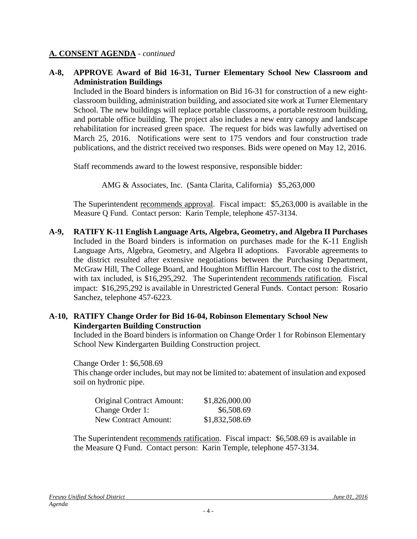## **A. CONSENT AGENDA** - *continued*

#### **A-8, APPROVE Award of Bid 16-31, Turner Elementary School New Classroom and Administration Buildings**

Included in the Board binders is information on Bid 16-31 for construction of a new eightclassroom building, administration building, and associated site work at Turner Elementary School. The new buildings will replace portable classrooms, a portable restroom building, and portable office building. The project also includes a new entry canopy and landscape rehabilitation for increased green space. The request for bids was lawfully advertised on March 25, 2016. Notifications were sent to 175 vendors and four construction trade publications, and the district received two responses. Bids were opened on May 12, 2016.

Staff recommends award to the lowest responsive, responsible bidder:

AMG & Associates, Inc. (Santa Clarita, California) \$5,263,000

The Superintendent recommends approval. Fiscal impact: \$5,263,000 is available in the Measure Q Fund. Contact person: Karin Temple, telephone 457-3134.

**A-9, RATIFY K-11 English Language Arts, Algebra, Geometry, and Algebra II Purchases** Included in the Board binders is information on purchases made for the K-11 English Language Arts, Algebra, Geometry, and Algebra II adoptions. Favorable agreements to the district resulted after extensive negotiations between the Purchasing Department, McGraw Hill, The College Board, and Houghton Mifflin Harcourt. The cost to the district, with tax included, is \$16,295,292. The Superintendent recommends ratification. Fiscal impact: \$16,295,292 is available in Unrestricted General Funds. Contact person: Rosario Sanchez, telephone 457-6223.

# **A-10, RATIFY Change Order for Bid 16-04, Robinson Elementary School New Kindergarten Building Construction**

Included in the Board binders is information on Change Order 1 for Robinson Elementary School New Kindergarten Building Construction project*.*

Change Order 1: \$6,508.69

This change order includes, but may not be limited to: abatement of insulation and exposed soil on hydronic pipe.

| <b>Original Contract Amount:</b> | \$1,826,000.00 |
|----------------------------------|----------------|
| Change Order 1:                  | \$6,508.69     |
| <b>New Contract Amount:</b>      | \$1,832,508.69 |

The Superintendent recommends ratification. Fiscal impact:\$6,508.69 is available in the Measure Q Fund. Contact person: Karin Temple, telephone 457-3134.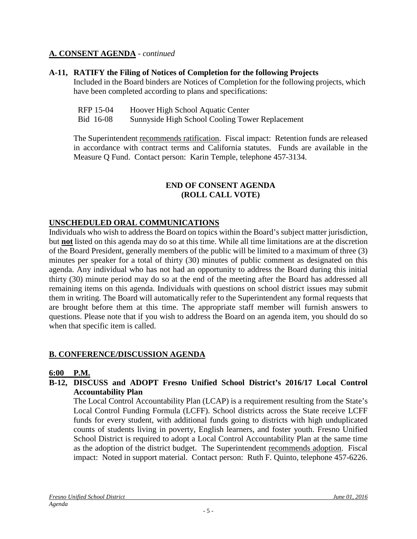# **A. CONSENT AGENDA** - *continued*

# **A-11, RATIFY the Filing of Notices of Completion for the following Projects**

Included in the Board binders are Notices of Completion for the following projects, which have been completed according to plans and specifications:

| RFP 15-04 | Hoover High School Aquatic Center               |
|-----------|-------------------------------------------------|
| Bid 16-08 | Sunnyside High School Cooling Tower Replacement |

The Superintendent recommends ratification. Fiscal impact: Retention funds are released in accordance with contract terms and California statutes. Funds are available in the Measure Q Fund. Contact person: Karin Temple, telephone 457-3134.

# **END OF CONSENT AGENDA (ROLL CALL VOTE)**

# **UNSCHEDULED ORAL COMMUNICATIONS**

Individuals who wish to address the Board on topics within the Board's subject matter jurisdiction, but **not** listed on this agenda may do so at this time. While all time limitations are at the discretion of the Board President, generally members of the public will be limited to a maximum of three (3) minutes per speaker for a total of thirty (30) minutes of public comment as designated on this agenda. Any individual who has not had an opportunity to address the Board during this initial thirty (30) minute period may do so at the end of the meeting after the Board has addressed all remaining items on this agenda. Individuals with questions on school district issues may submit them in writing. The Board will automatically refer to the Superintendent any formal requests that are brought before them at this time. The appropriate staff member will furnish answers to questions. Please note that if you wish to address the Board on an agenda item, you should do so when that specific item is called.

#### **B. CONFERENCE/DISCUSSION AGENDA**

#### **6:00 P.M.**

**B-12, DISCUSS and ADOPT Fresno Unified School District's 2016/17 Local Control Accountability Plan**

The Local Control Accountability Plan (LCAP) is a requirement resulting from the State's Local Control Funding Formula (LCFF). School districts across the State receive LCFF funds for every student, with additional funds going to districts with high unduplicated counts of students living in poverty, English learners, and foster youth. Fresno Unified School District is required to adopt a Local Control Accountability Plan at the same time as the adoption of the district budget. The Superintendent recommends adoption. Fiscal impact: Noted in support material. Contact person: Ruth F. Quinto, telephone 457-6226.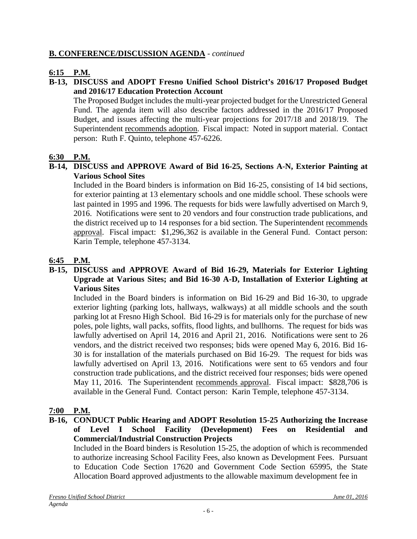# **B. CONFERENCE/DISCUSSION AGENDA** - *continued*

# **6:15 P.M.**

# **B-13, DISCUSS and ADOPT Fresno Unified School District's 2016/17 Proposed Budget and 2016/17 Education Protection Account**

The Proposed Budget includes the multi-year projected budget for the Unrestricted General Fund. The agenda item will also describe factors addressed in the 2016/17 Proposed Budget, and issues affecting the multi-year projections for 2017/18 and 2018/19. The Superintendent recommends adoption. Fiscal impact: Noted in support material. Contact person: Ruth F. Quinto, telephone 457-6226.

# **6:30 P.M.**

#### **B-14, DISCUSS and APPROVE Award of Bid 16-25, Sections A-N, Exterior Painting at Various School Sites**

Included in the Board binders is information on Bid 16-25, consisting of 14 bid sections, for exterior painting at 13 elementary schools and one middle school. These schools were last painted in 1995 and 1996. The requests for bids were lawfully advertised on March 9, 2016. Notifications were sent to 20 vendors and four construction trade publications, and the district received up to 14 responses for a bid section. The Superintendent recommends approval. Fiscal impact: \$1,296,362 is available in the General Fund. Contact person: Karin Temple, telephone 457-3134.

# **6:45 P.M.**

#### **B-15, DISCUSS and APPROVE Award of Bid 16-29, Materials for Exterior Lighting Upgrade at Various Sites; and Bid 16-30 A-D, Installation of Exterior Lighting at Various Sites**

Included in the Board binders is information on Bid 16-29 and Bid 16-30, to upgrade exterior lighting (parking lots, hallways, walkways) at all middle schools and the south parking lot at Fresno High School. Bid 16-29 is for materials only for the purchase of new poles, pole lights, wall packs, soffits, flood lights, and bullhorns. The request for bids was lawfully advertised on April 14, 2016 and April 21, 2016. Notifications were sent to 26 vendors, and the district received two responses; bids were opened May 6, 2016. Bid 16- 30 is for installation of the materials purchased on Bid 16-29. The request for bids was lawfully advertised on April 13, 2016. Notifications were sent to 65 vendors and four construction trade publications, and the district received four responses; bids were opened May 11, 2016. The Superintendent recommends approval. Fiscal impact: \$828,706 is available in the General Fund. Contact person: Karin Temple, telephone 457-3134.

#### **7:00 P.M.**

#### **B-16, CONDUCT Public Hearing and ADOPT Resolution 15-25 Authorizing the Increase of Level I School Facility (Development) Fees on Residential and Commercial/Industrial Construction Projects**

Included in the Board binders is Resolution 15-25, the adoption of which is recommended to authorize increasing School Facility Fees, also known as Development Fees. Pursuant to Education Code Section 17620 and Government Code Section 65995, the State Allocation Board approved adjustments to the allowable maximum development fee in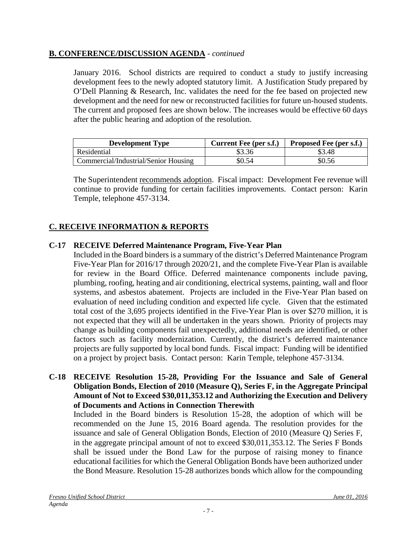# **B. CONFERENCE/DISCUSSION AGENDA** - *continued*

January 2016. School districts are required to conduct a study to justify increasing development fees to the newly adopted statutory limit. A Justification Study prepared by O'Dell Planning & Research, Inc. validates the need for the fee based on projected new development and the need for new or reconstructed facilities for future un-housed students. The current and proposed fees are shown below. The increases would be effective 60 days after the public hearing and adoption of the resolution.

| <b>Development Type</b>              | Current Fee (per s.f.) | <b>Proposed Fee (per s.f.)</b> |
|--------------------------------------|------------------------|--------------------------------|
| Residential                          | \$3.36                 | \$3.48                         |
| Commercial/Industrial/Senior Housing | \$0.54                 | \$0.56                         |

The Superintendent recommends adoption. Fiscal impact: Development Fee revenue will continue to provide funding for certain facilities improvements. Contact person: Karin Temple, telephone 457-3134.

# **C. RECEIVE INFORMATION & REPORTS**

# **C-17 RECEIVE Deferred Maintenance Program, Five-Year Plan**

Included in the Board binders is a summary of the district's Deferred Maintenance Program Five-Year Plan for 2016/17 through 2020/21, and the complete Five-Year Plan is available for review in the Board Office. Deferred maintenance components include paving, plumbing, roofing, heating and air conditioning, electrical systems, painting, wall and floor systems, and asbestos abatement. Projects are included in the Five-Year Plan based on evaluation of need including condition and expected life cycle. Given that the estimated total cost of the 3,695 projects identified in the Five-Year Plan is over \$270 million, it is not expected that they will all be undertaken in the years shown. Priority of projects may change as building components fail unexpectedly, additional needs are identified, or other factors such as facility modernization. Currently, the district's deferred maintenance projects are fully supported by local bond funds. Fiscal impact: Funding will be identified on a project by project basis. Contact person: Karin Temple, telephone 457-3134.

#### **C-18 RECEIVE Resolution 15-28, Providing For the Issuance and Sale of General Obligation Bonds, Election of 2010 (Measure Q), Series F, in the Aggregate Principal Amount of Not to Exceed \$30,011,353.12 and Authorizing the Execution and Delivery of Documents and Actions in Connection Therewith**

Included in the Board binders is Resolution 15-28, the adoption of which will be recommended on the June 15, 2016 Board agenda. The resolution provides for the issuance and sale of General Obligation Bonds, Election of 2010 (Measure Q) Series F, in the aggregate principal amount of not to exceed \$30,011,353.12. The Series F Bonds shall be issued under the Bond Law for the purpose of raising money to finance educational facilities for which the General Obligation Bonds have been authorized under the Bond Measure. Resolution 15-28 authorizes bonds which allow for the compounding